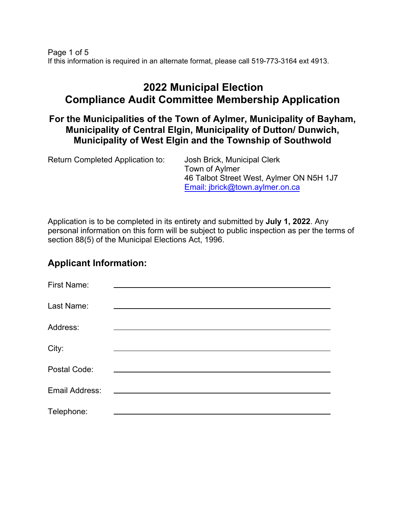Page 1 of 5 If this information is required in an alternate format, please call 519-773-3164 ext 4913.

# **2022 Municipal Election Compliance Audit Committee Membership Application**

**For the Municipalities of the Town of Aylmer, Municipality of Bayham, Municipality of Central Elgin, Municipality of Dutton/ Dunwich, Municipality of West Elgin and the Township of Southwold**

| Return Completed Application to: | Josh Brick, Municipal Clerk<br>Town of Aylmer<br>46 Talbot Street West, Aylmer ON N5H 1J7<br>Email: jbrick@town.aylmer.on.ca |
|----------------------------------|------------------------------------------------------------------------------------------------------------------------------|
|                                  |                                                                                                                              |

Application is to be completed in its entirety and submitted by **July 1, 2022**. Any personal information on this form will be subject to public inspection as per the terms of section 88(5) of the Municipal Elections Act, 1996.

#### **Applicant Information:**

| <b>First Name:</b> |                                                                                                                      |
|--------------------|----------------------------------------------------------------------------------------------------------------------|
| Last Name:         |                                                                                                                      |
| Address:           |                                                                                                                      |
| City:              |                                                                                                                      |
| Postal Code:       |                                                                                                                      |
| Email Address:     | <u> 1980 - Jan James James James James James James James James James James James James James James James James J</u> |
| Telephone:         |                                                                                                                      |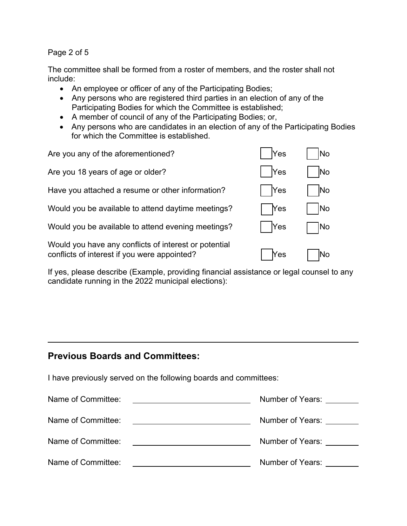Page 2 of 5

The committee shall be formed from a roster of members, and the roster shall not include:

- An employee or officer of any of the Participating Bodies;
- Any persons who are registered third parties in an election of any of the Participating Bodies for which the Committee is established;
- A member of council of any of the Participating Bodies; or,
- Any persons who are candidates in an election of any of the Participating Bodies for which the Committee is established.

| Are you any of the aforementioned?                                                                    | Yes        | <b>No</b>  |
|-------------------------------------------------------------------------------------------------------|------------|------------|
| Are you 18 years of age or older?                                                                     | <b>Yes</b> | lNo        |
| Have you attached a resume or other information?                                                      | <b>Yes</b> | <b>INo</b> |
| Would you be available to attend daytime meetings?                                                    | <b>Nes</b> | lNo        |
| Would you be available to attend evening meetings?                                                    | <b>Yes</b> | lNo        |
| Would you have any conflicts of interest or potential<br>conflicts of interest if you were appointed? | Yes        | No         |

If yes, please describe (Example, providing financial assistance or legal counsel to any candidate running in the 2022 municipal elections):

### **Previous Boards and Committees:**

I have previously served on the following boards and committees:

| Name of Committee: | Number of Years: |
|--------------------|------------------|
| Name of Committee: | Number of Years: |
| Name of Committee: | Number of Years: |
| Name of Committee: | Number of Years: |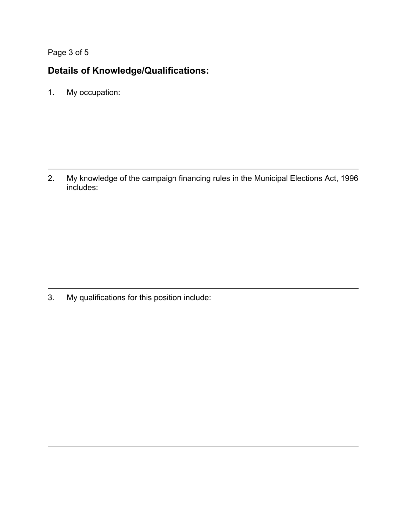Page 3 of 5

## **Details of Knowledge/Qualifications:**

1. My occupation:

2. My knowledge of the campaign financing rules in the Municipal Elections Act, 1996 includes:

3. My qualifications for this position include: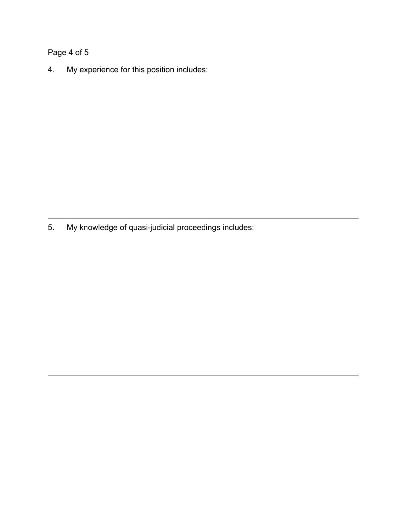## Page 4 of 5

4. My experience for this position includes:

5. My knowledge of quasi-judicial proceedings includes: